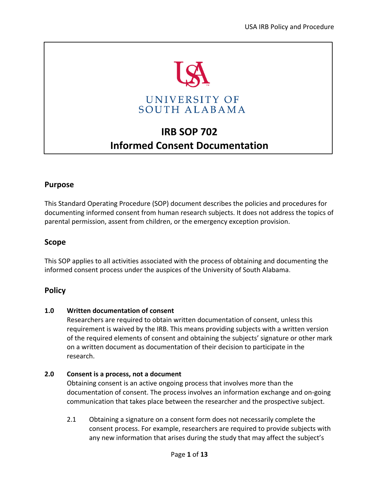

# **IRB SOP 702 Informed Consent Documentation**

# **Purpose**

This Standard Operating Procedure (SOP) document describes the policies and procedures for documenting informed consent from human research subjects. It does not address the topics of parental permission, assent from children, or the emergency exception provision.

# **Scope**

This SOP applies to all activities associated with the process of obtaining and documenting the informed consent process under the auspices of the University of South Alabama.

# **Policy**

# **1.0 Written documentation of consent**

Researchers are required to obtain written documentation of consent, unless this requirement is waived by the IRB. This means providing subjects with a written version of the required elements of consent and obtaining the subjects' signature or other mark on a written document as documentation of their decision to participate in the research.

# **2.0 Consent is a process, not a document**

Obtaining consent is an active ongoing process that involves more than the documentation of consent. The process involves an information exchange and on-going communication that takes place between the researcher and the prospective subject.

2.1 Obtaining a signature on a consent form does not necessarily complete the consent process. For example, researchers are required to provide subjects with any new information that arises during the study that may affect the subject's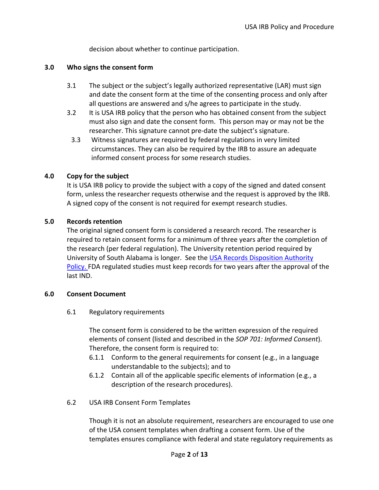decision about whether to continue participation.

#### **3.0 Who signs the consent form**

- 3.1 The subject or the subject's legally authorized representative (LAR) must sign and date the consent form at the time of the consenting process and only after all questions are answered and s/he agrees to participate in the study.
- 3.2 It is USA IRB policy that the person who has obtained consent from the subject must also sign and date the consent form. This person may or may not be the researcher. This signature cannot pre-date the subject's signature.
- 3.3 Witness signatures are required by federal regulations in very limited circumstances. They can also be required by the IRB to assure an adequate informed consent process for some research studies.

#### **4.0 Copy for the subject**

It is USA IRB policy to provide the subject with a copy of the signed and dated consent form, unless the researcher requests otherwise and the request is approved by the IRB. A signed copy of the consent is not required for exempt research studies.

#### **5.0 Records retention**

The original signed consent form is considered a research record. The researcher is required to retain consent forms for a minimum of three years after the completion of the research (per federal regulation). The University retention period required by University of South Alabama is longer. See the [USA Records Disposition Authority](https://www.southalabama.edu/departments/library/recordsmanagement/)  [Policy.](https://www.southalabama.edu/departments/library/recordsmanagement/) FDA regulated studies must keep records for two years after the approval of the last IND.

#### **6.0 Consent Document**

#### 6.1 Regulatory requirements

The consent form is considered to be the written expression of the required elements of consent (listed and described in the *SOP 701: Informed Consent*). Therefore, the consent form is required to:

- 6.1.1 Conform to the general requirements for consent (e.g., in a language understandable to the subjects); and to
- 6.1.2 Contain all of the applicable specific elements of information (e.g., a description of the research procedures).

# 6.2 USA IRB Consent Form Templates

Though it is not an absolute requirement, researchers are encouraged to use one of the USA consent templates when drafting a consent form. Use of the templates ensures compliance with federal and state regulatory requirements as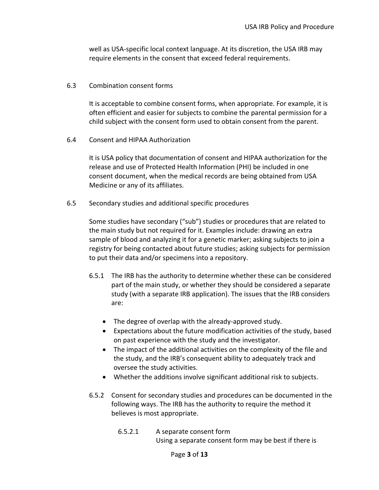well as USA-specific local context language. At its discretion, the USA IRB may require elements in the consent that exceed federal requirements.

#### 6.3 Combination consent forms

It is acceptable to combine consent forms, when appropriate. For example, it is often efficient and easier for subjects to combine the parental permission for a child subject with the consent form used to obtain consent from the parent.

6.4 Consent and HIPAA Authorization

It is USA policy that documentation of consent and HIPAA authorization for the release and use of Protected Health Information (PHI) be included in one consent document, when the medical records are being obtained from USA Medicine or any of its affiliates.

6.5 Secondary studies and additional specific procedures

Some studies have secondary ("sub") studies or procedures that are related to the main study but not required for it. Examples include: drawing an extra sample of blood and analyzing it for a genetic marker; asking subjects to join a registry for being contacted about future studies; asking subjects for permission to put their data and/or specimens into a repository.

- 6.5.1 The IRB has the authority to determine whether these can be considered part of the main study, or whether they should be considered a separate study (with a separate IRB application). The issues that the IRB considers are:
	- The degree of overlap with the already-approved study.
	- Expectations about the future modification activities of the study, based on past experience with the study and the investigator.
	- The impact of the additional activities on the complexity of the file and the study, and the IRB's consequent ability to adequately track and oversee the study activities.
	- Whether the additions involve significant additional risk to subjects.
- 6.5.2 Consent for secondary studies and procedures can be documented in the following ways. The IRB has the authority to require the method it believes is most appropriate.
	- 6.5.2.1 A separate consent form Using a separate consent form may be best if there is

#### Page **3** of **13**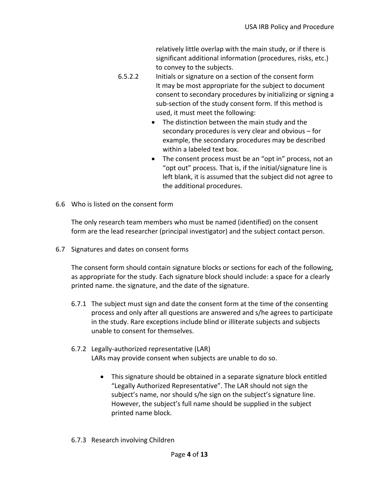relatively little overlap with the main study, or if there is significant additional information (procedures, risks, etc.) to convey to the subjects.

- 6.5.2.2 Initials or signature on a section of the consent form It may be most appropriate for the subject to document consent to secondary procedures by initializing or signing a sub-section of the study consent form. If this method is used, it must meet the following:
	- The distinction between the main study and the secondary procedures is very clear and obvious – for example, the secondary procedures may be described within a labeled text box.
	- The consent process must be an "opt in" process, not an "opt out" process. That is, if the initial/signature line is left blank, it is assumed that the subject did not agree to the additional procedures.
- 6.6 Who is listed on the consent form

The only research team members who must be named (identified) on the consent form are the lead researcher (principal investigator) and the subject contact person.

6.7 Signatures and dates on consent forms

The consent form should contain signature blocks or sections for each of the following, as appropriate for the study. Each signature block should include: a space for a clearly printed name. the signature, and the date of the signature.

- 6.7.1 The subject must sign and date the consent form at the time of the consenting process and only after all questions are answered and s/he agrees to participate in the study. Rare exceptions include blind or illiterate subjects and subjects unable to consent for themselves.
- 6.7.2 Legally-authorized representative (LAR) LARs may provide consent when subjects are unable to do so.
	- This signature should be obtained in a separate signature block entitled "Legally Authorized Representative". The LAR should not sign the subject's name, nor should s/he sign on the subject's signature line. However, the subject's full name should be supplied in the subject printed name block.
- 6.7.3 Research involving Children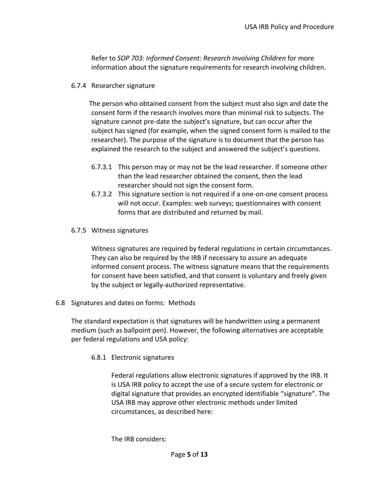Refer to *SOP 703: Informed Consent: Research Involving Children* for more information about the signature requirements for research involving children.

## 6.7.4 Researcher signature

The person who obtained consent from the subject must also sign and date the consent form if the research involves more than minimal risk to subjects. The signature cannot pre-date the subject's signature, but can occur after the subject has signed (for example, when the signed consent form is mailed to the researcher). The purpose of the signature is to document that the person has explained the research to the subject and answered the subject's questions.

- 6.7.3.1 This person may or may not be the lead researcher. If someone other than the lead researcher obtained the consent, then the lead researcher should not sign the consent form.
- 6.7.3.2 This signature section is not required if a one-on-one consent process will not occur. Examples: web surveys; questionnaires with consent forms that are distributed and returned by mail.
- 6.7.5 Witness signatures

Witness signatures are required by federal regulations in certain circumstances. They can also be required by the IRB if necessary to assure an adequate informed consent process. The witness signature means that the requirements for consent have been satisfied, and that consent is voluntary and freely given by the subject or legally-authorized representative.

6.8 Signatures and dates on forms: Methods

The standard expectation is that signatures will be handwritten using a permanent medium (such as ballpoint pen). However, the following alternatives are acceptable per federal regulations and USA policy:

6.8.1 Electronic signatures

Federal regulations allow electronic signatures if approved by the IRB. It is USA IRB policy to accept the use of a secure system for electronic or digital signature that provides an encrypted identifiable "signature". The USA IRB may approve other electronic methods under limited circumstances, as described here:

The IRB considers: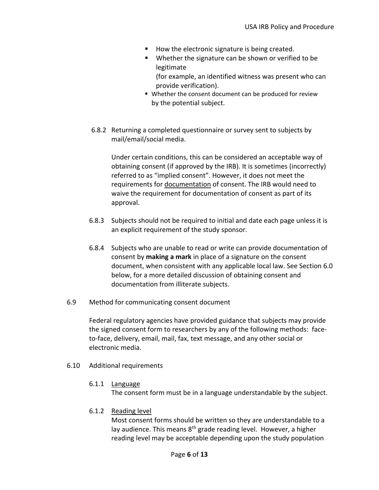- How the electronic signature is being created.
- Whether the signature can be shown or verified to be legitimate
	- (for example, an identified witness was present who can provide verification).
- Whether the consent document can be produced for review by the potential subject.
- 6.8.2 Returning a completed questionnaire or survey sent to subjects by mail/email/social media.

Under certain conditions, this can be considered an acceptable way of obtaining consent (if approved by the IRB). It is sometimes (incorrectly) referred to as "implied consent". However, it does not meet the requirements for documentation of consent. The IRB would need to waive the requirement for documentation of consent as part of its approval.

- 6.8.3 Subjects should not be required to initial and date each page unless it is an explicit requirement of the study sponsor.
- 6.8.4 Subjects who are unable to read or write can provide documentation of consent by **making a mark** in place of a signature on the consent document, when consistent with any applicable local law. See Section 6.0 below, for a more detailed discussion of obtaining consent and documentation from illiterate subjects.
- 6.9 Method for communicating consent document

Federal regulatory agencies have provided guidance that subjects may provide the signed consent form to researchers by any of the following methods: faceto-face, delivery, email, mail, fax, text message, and any other social or electronic media.

#### 6.10 Additional requirements

6.1.1 Language

The consent form must be in a language understandable by the subject.

6.1.2 Reading level

Most consent forms should be written so they are understandable to a lay audience. This means 8<sup>th</sup> grade reading level. However, a higher reading level may be acceptable depending upon the study population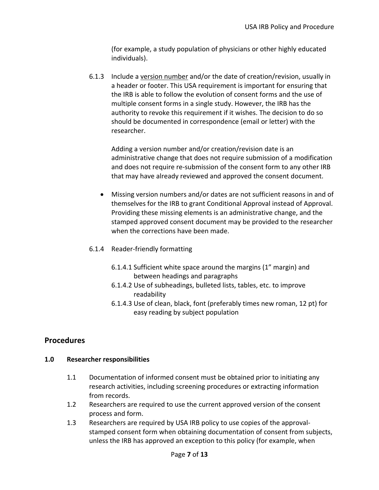(for example, a study population of physicians or other highly educated individuals).

6.1.3 Include a version number and/or the date of creation/revision, usually in a header or footer. This USA requirement is important for ensuring that the IRB is able to follow the evolution of consent forms and the use of multiple consent forms in a single study. However, the IRB has the authority to revoke this requirement if it wishes. The decision to do so should be documented in correspondence (email or letter) with the researcher.

Adding a version number and/or creation/revision date is an administrative change that does not require submission of a modification and does not require re-submission of the consent form to any other IRB that may have already reviewed and approved the consent document.

- Missing version numbers and/or dates are not sufficient reasons in and of themselves for the IRB to grant Conditional Approval instead of Approval. Providing these missing elements is an administrative change, and the stamped approved consent document may be provided to the researcher when the corrections have been made.
- 6.1.4 Reader-friendly formatting
	- 6.1.4.1 Sufficient white space around the margins (1" margin) and between headings and paragraphs
	- 6.1.4.2 Use of subheadings, bulleted lists, tables, etc. to improve readability
	- 6.1.4.3 Use of clean, black, font (preferably times new roman, 12 pt) for easy reading by subject population

# **Procedures**

# **1.0 Researcher responsibilities**

- 1.1 Documentation of informed consent must be obtained prior to initiating any research activities, including screening procedures or extracting information from records.
- 1.2 Researchers are required to use the current approved version of the consent process and form.
- 1.3 Researchers are required by USA IRB policy to use copies of the approvalstamped consent form when obtaining documentation of consent from subjects, unless the IRB has approved an exception to this policy (for example, when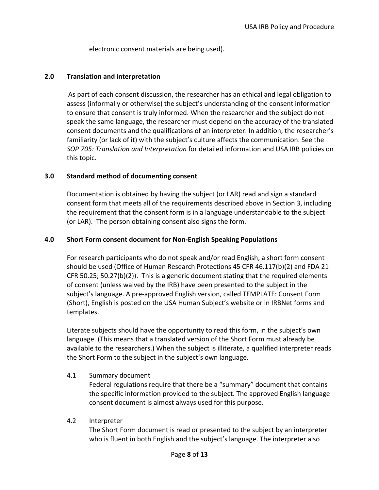electronic consent materials are being used).

## **2.0 Translation and interpretation**

As part of each consent discussion, the researcher has an ethical and legal obligation to assess (informally or otherwise) the subject's understanding of the consent information to ensure that consent is truly informed. When the researcher and the subject do not speak the same language, the researcher must depend on the accuracy of the translated consent documents and the qualifications of an interpreter. In addition, the researcher's familiarity (or lack of it) with the subject's culture affects the communication. See the *SOP 705: Translation and Interpretation* for detailed information and USA IRB policies on this topic.

#### **3.0 Standard method of documenting consent**

Documentation is obtained by having the subject (or LAR) read and sign a standard consent form that meets all of the requirements described above in Section 3, including the requirement that the consent form is in a language understandable to the subject (or LAR). The person obtaining consent also signs the form.

#### **4.0 Short Form consent document for Non-English Speaking Populations**

For research participants who do not speak and/or read English, a short form consent should be used (Office of Human Research Protections 45 CFR 46.117(b)(2) and FDA 21 CFR 50.25; 50.27(b)(2)). This is a generic document stating that the required elements of consent (unless waived by the IRB) have been presented to the subject in the subject's language. A pre-approved English version, called TEMPLATE: Consent Form (Short), English is posted on the USA Human Subject's website or in IRBNet forms and templates.

Literate subjects should have the opportunity to read this form, in the subject's own language. (This means that a translated version of the Short Form must already be available to the researchers.) When the subject is illiterate, a qualified interpreter reads the Short Form to the subject in the subject's own language.

# 4.1 Summary document

Federal regulations require that there be a "summary" document that contains the specific information provided to the subject. The approved English language consent document is almost always used for this purpose.

#### 4.2 Interpreter

The Short Form document is read or presented to the subject by an interpreter who is fluent in both English and the subject's language. The interpreter also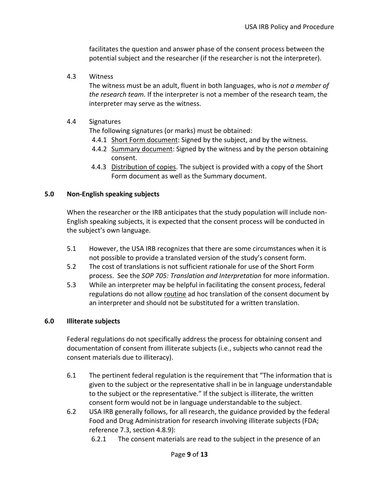facilitates the question and answer phase of the consent process between the potential subject and the researcher (if the researcher is not the interpreter).

4.3 Witness

The witness must be an adult, fluent in both languages, who is *not a member of the research team.* If the interpreter is not a member of the research team, the interpreter may serve as the witness.

# 4.4 Signatures

The following signatures (or marks) must be obtained:

- 4.4.1 Short Form document: Signed by the subject, and by the witness.
- 4.4.2 Summary document: Signed by the witness and by the person obtaining consent.
- 4.4.3 Distribution of copies. The subject is provided with a copy of the Short Form document as well as the Summary document.

#### **5.0 Non-English speaking subjects**

When the researcher or the IRB anticipates that the study population will include non-English speaking subjects, it is expected that the consent process will be conducted in the subject's own language.

- 5.1 However, the USA IRB recognizes that there are some circumstances when it is not possible to provide a translated version of the study's consent form.
- 5.2 The cost of translations is not sufficient rationale for use of the Short Form process. See the *SOP 705: Translation and Interpretation* for more information.
- 5.3 While an interpreter may be helpful in facilitating the consent process, federal regulations do not allow routine ad hoc translation of the consent document by an interpreter and should not be substituted for a written translation.

# **6.0 Illiterate subjects**

Federal regulations do not specifically address the process for obtaining consent and documentation of consent from illiterate subjects (i.e., subjects who cannot read the consent materials due to illiteracy).

- 6.1 The pertinent federal regulation is the requirement that "The information that is given to the subject or the representative shall in be in language understandable to the subject or the representative." If the subject is illiterate, the written consent form would not be in language understandable to the subject.
- 6.2 USA IRB generally follows, for all research, the guidance provided by the federal Food and Drug Administration for research involving illiterate subjects (FDA; reference 7.3, section 4.8.9):
	- 6.2.1 The consent materials are read to the subject in the presence of an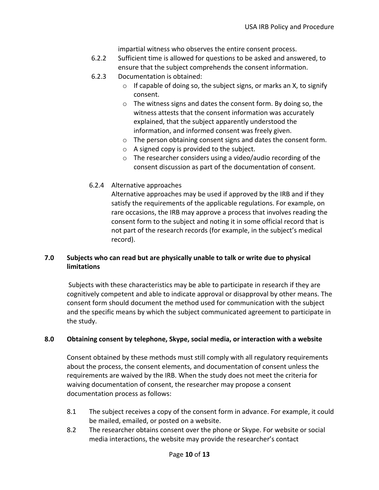impartial witness who observes the entire consent process.

- 6.2.2 Sufficient time is allowed for questions to be asked and answered, to ensure that the subject comprehends the consent information.
- 6.2.3 Documentation is obtained:
	- $\circ$  If capable of doing so, the subject signs, or marks an X, to signify consent.
	- o The witness signs and dates the consent form. By doing so, the witness attests that the consent information was accurately explained, that the subject apparently understood the information, and informed consent was freely given.
	- o The person obtaining consent signs and dates the consent form.
	- o A signed copy is provided to the subject.
	- o The researcher considers using a video/audio recording of the consent discussion as part of the documentation of consent.
- 6.2.4 Alternative approaches

Alternative approaches may be used if approved by the IRB and if they satisfy the requirements of the applicable regulations. For example, on rare occasions, the IRB may approve a process that involves reading the consent form to the subject and noting it in some official record that is not part of the research records (for example, in the subject's medical record).

# **7.0 Subjects who can read but are physically unable to talk or write due to physical limitations**

Subjects with these characteristics may be able to participate in research if they are cognitively competent and able to indicate approval or disapproval by other means. The consent form should document the method used for communication with the subject and the specific means by which the subject communicated agreement to participate in the study.

# **8.0 Obtaining consent by telephone, Skype, social media, or interaction with a website**

Consent obtained by these methods must still comply with all regulatory requirements about the process, the consent elements, and documentation of consent unless the requirements are waived by the IRB. When the study does not meet the criteria for waiving documentation of consent, the researcher may propose a consent documentation process as follows:

- 8.1 The subject receives a copy of the consent form in advance. For example, it could be mailed, emailed, or posted on a website.
- 8.2 The researcher obtains consent over the phone or Skype. For website or social media interactions, the website may provide the researcher's contact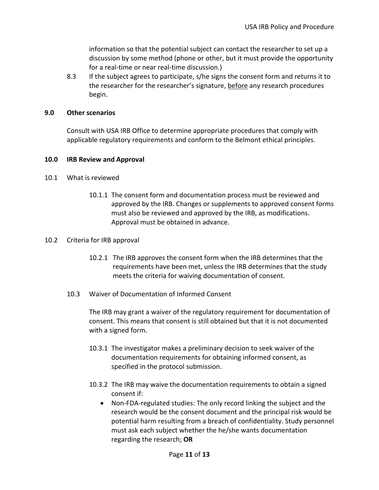information so that the potential subject can contact the researcher to set up a discussion by some method (phone or other, but it must provide the opportunity for a real-time or near real-time discussion.)

8.3 If the subject agrees to participate, s/he signs the consent form and returns it to the researcher for the researcher's signature, before any research procedures begin.

#### **9.0 Other scenarios**

Consult with USA IRB Office to determine appropriate procedures that comply with applicable regulatory requirements and conform to the Belmont ethical principles.

#### **10.0 IRB Review and Approval**

- 10.1 What is reviewed
	- 10.1.1 The consent form and documentation process must be reviewed and approved by the IRB. Changes or supplements to approved consent forms must also be reviewed and approved by the IRB, as modifications. Approval must be obtained in advance.

#### 10.2 Criteria for IRB approval

- 10.2.1 The IRB approves the consent form when the IRB determines that the requirements have been met, unless the IRB determines that the study meets the criteria for waiving documentation of consent.
- 10.3 Waiver of Documentation of Informed Consent

The IRB may grant a waiver of the regulatory requirement for documentation of consent. This means that consent is still obtained but that it is not documented with a signed form.

- 10.3.1 The investigator makes a preliminary decision to seek waiver of the documentation requirements for obtaining informed consent, as specified in the protocol submission.
- 10.3.2 The IRB may waive the documentation requirements to obtain a signed consent if:
	- Non-FDA-regulated studies: The only record linking the subject and the research would be the consent document and the principal risk would be potential harm resulting from a breach of confidentiality. Study personnel must ask each subject whether the he/she wants documentation regarding the research; **OR**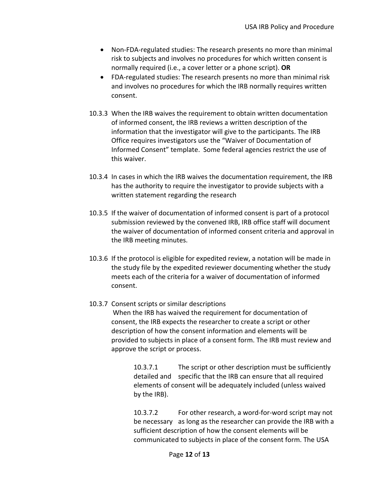- Non-FDA-regulated studies: The research presents no more than minimal risk to subjects and involves no procedures for which written consent is normally required (i.e., a cover letter or a phone script). **OR**
- FDA-regulated studies: The research presents no more than minimal risk and involves no procedures for which the IRB normally requires written consent.
- 10.3.3 When the IRB waives the requirement to obtain written documentation of informed consent, the IRB reviews a written description of the information that the investigator will give to the participants. The IRB Office requires investigators use the "Waiver of Documentation of Informed Consent" template. Some federal agencies restrict the use of this waiver.
- 10.3.4 In cases in which the IRB waives the documentation requirement, the IRB has the authority to require the investigator to provide subjects with a written statement regarding the research
- 10.3.5 If the waiver of documentation of informed consent is part of a protocol submission reviewed by the convened IRB, IRB office staff will document the waiver of documentation of informed consent criteria and approval in the IRB meeting minutes.
- 10.3.6 If the protocol is eligible for expedited review, a notation will be made in the study file by the expedited reviewer documenting whether the study meets each of the criteria for a waiver of documentation of informed consent.
- 10.3.7 Consent scripts or similar descriptions When the IRB has waived the requirement for documentation of consent, the IRB expects the researcher to create a script or other description of how the consent information and elements will be provided to subjects in place of a consent form. The IRB must review and approve the script or process.

10.3.7.1 The script or other description must be sufficiently detailed and specific that the IRB can ensure that all required elements of consent will be adequately included (unless waived by the IRB).

10.3.7.2 For other research, a word-for-word script may not be necessary as long as the researcher can provide the IRB with a sufficient description of how the consent elements will be communicated to subjects in place of the consent form. The USA